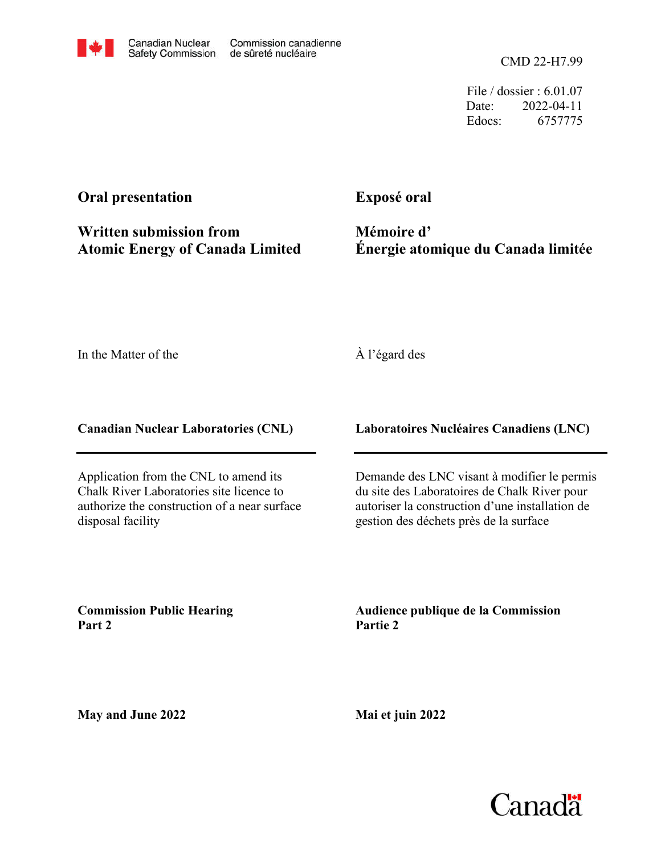

File / dossier : 6.01.07 Date: 2022-04-11 Edocs: 6757775

## **Oral presentation**

**Exposé oral**

**Written submission from Atomic Energy of Canada Limited**

**Mémoire d' Énergie atomique du Canada limitée**

In the Matter of the

## À l'égard des

**Canadian Nuclear Laboratories (CNL)**

Application from the CNL to amend its Chalk River Laboratories site licence to authorize the construction of a near surface disposal facility

**Laboratoires Nucléaires Canadiens (LNC)**

Demande des LNC visant à modifier le permis du site des Laboratoires de Chalk River pour autoriser la construction d'une installation de gestion des déchets près de la surface

**Commission Public Hearing Part 2**

**Audience publique de la Commission Partie 2**

**May and June 2022**

**Mai et juin 2022**

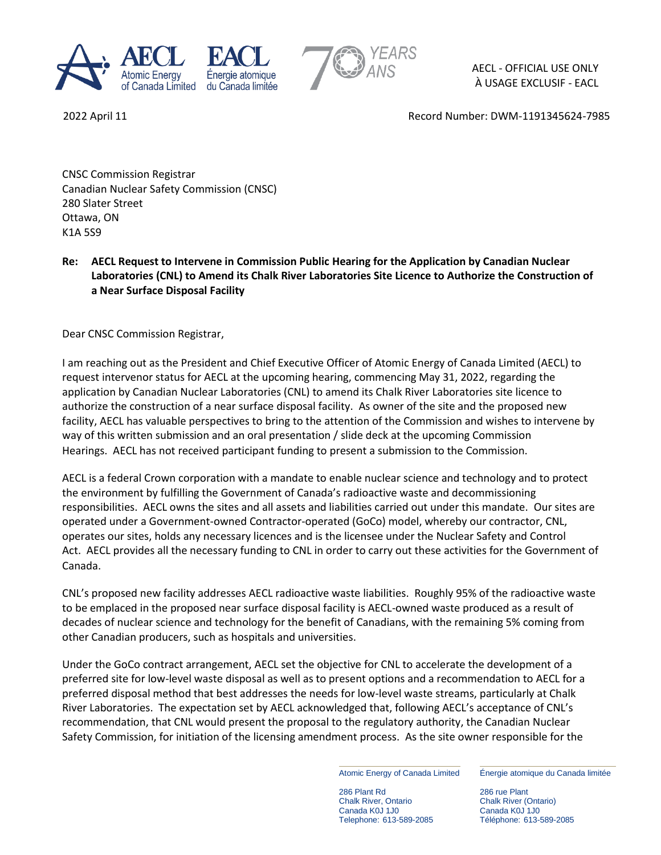



AECL - OFFICIAL USE ONLY À USAGE EXCLUSIF - EACL

2022 April 11 Record Number: DWM-1191345624-7985

CNSC Commission Registrar Canadian Nuclear Safety Commission (CNSC) 280 Slater Street Ottawa, ON K1A 5S9

## **Re: AECL Request to Intervene in Commission Public Hearing for the Application by Canadian Nuclear Laboratories (CNL) to Amend its Chalk River Laboratories Site Licence to Authorize the Construction of a Near Surface Disposal Facility**

Dear CNSC Commission Registrar,

I am reaching out as the President and Chief Executive Officer of Atomic Energy of Canada Limited (AECL) to request intervenor status for AECL at the upcoming hearing, commencing May 31, 2022, regarding the application by Canadian Nuclear Laboratories (CNL) to amend its Chalk River Laboratories site licence to authorize the construction of a near surface disposal facility. As owner of the site and the proposed new facility, AECL has valuable perspectives to bring to the attention of the Commission and wishes to intervene by way of this written submission and an oral presentation / slide deck at the upcoming Commission Hearings. AECL has not received participant funding to present a submission to the Commission.

AECL is a federal Crown corporation with a mandate to enable nuclear science and technology and to protect the environment by fulfilling the Government of Canada's radioactive waste and decommissioning responsibilities. AECL owns the sites and all assets and liabilities carried out under this mandate. Our sites are operated under a Government-owned Contractor-operated (GoCo) model, whereby our contractor, CNL, operates our sites, holds any necessary licences and is the licensee under the Nuclear Safety and Control Act. AECL provides all the necessary funding to CNL in order to carry out these activities for the Government of Canada.

CNL's proposed new facility addresses AECL radioactive waste liabilities. Roughly 95% of the radioactive waste to be emplaced in the proposed near surface disposal facility is AECL-owned waste produced as a result of decades of nuclear science and technology for the benefit of Canadians, with the remaining 5% coming from other Canadian producers, such as hospitals and universities.

Under the GoCo contract arrangement, AECL set the objective for CNL to accelerate the development of a preferred site for low-level waste disposal as well as to present options and a recommendation to AECL for a preferred disposal method that best addresses the needs for low-level waste streams, particularly at Chalk River Laboratories. The expectation set by AECL acknowledged that, following AECL's acceptance of CNL's recommendation, that CNL would present the proposal to the regulatory authority, the Canadian Nuclear Safety Commission, for initiation of the licensing amendment process. As the site owner responsible for the

Atomic Energy of Canada Limited

286 Plant Rd Chalk River, Ontario Canada K0J 1J0 Telephone: 613-589-2085

Énergie atomique du Canada limitée

286 rue Plant Chalk River (Ontario) Canada K0J 1J0 Téléphone: 613-589-2085